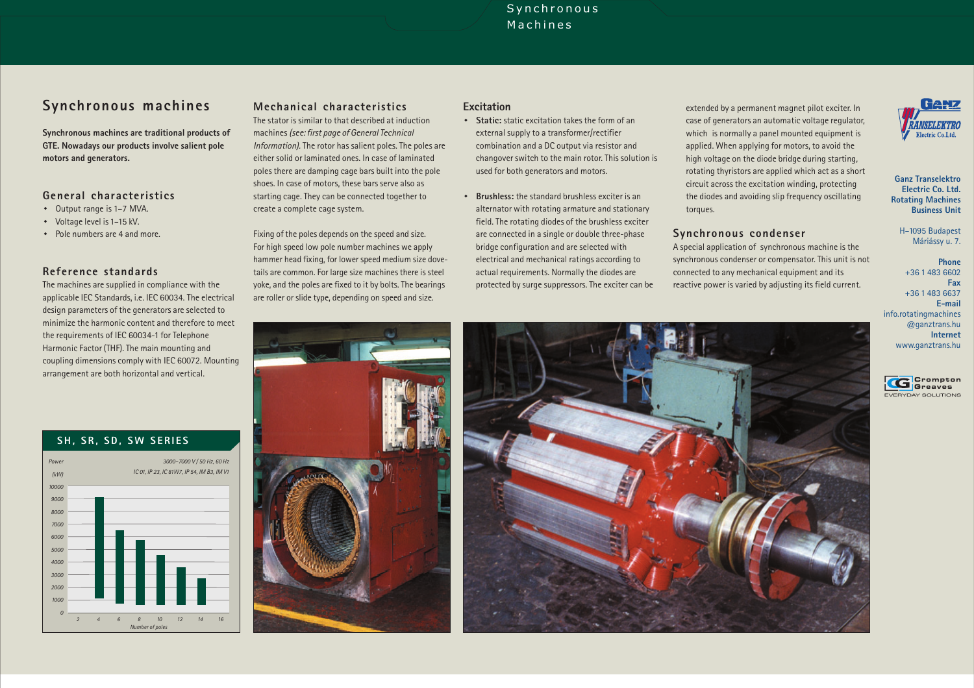# Synchronous Machines

# **Synchronous machines**

**Synchronous machines are traditional products of GTE. Nowadays our products involve salient pole motors and generators.**

### **General characteristics**

- · Output range is 1–7 MVA.
- · Voltage level is 1–15 kV.
- · Pole numbers are 4 and more.

## **Reference standards**

The machines are supplied in compliance with the applicable IEC Standards, i.e. IEC 60034. The electrical design parameters of the generators are selected to minimize the harmonic content and therefore to meet the requirements of IEC 60034-1 for Telephone Harmonic Factor (THF). The main mounting and coupling dimensions comply with IEC 60072. Mounting arrangement are both horizontal and vertical.

## **SH, SR, SD, SW SERIES**



# **Mechanical characteristics**

The stator is similar to that described at inductionmachines *(see: first page of General Technical Information).* The rotor has salient poles. The poles are either solid or laminated ones. In case of laminatedpoles there are damping cage bars built into the pole shoes. In case of motors, these bars serve also as starting cage. They can be connected together to create <sup>a</sup> complete cage system.

Fixing of the poles depends on the speed and size. For high speed low pole number machines we apply hammer head fixing, for lower speed medium size dovetails are common. For large size machines there is steel yoke, and the poles are fixed to it by bolts. The bearings are roller or slide type, depending on speed and size.

## **Excitation**

- · static excitation takes the form of an**Static:**external supply to <sup>a</sup> transformer/rectifier combination and <sup>a</sup> DC output via resistor and changover switch to the main rotor. This solution is used for both generators and motors.
- · the standard brushless exciter is an**Brushless:**alternator with rotating armature and stationary field. The rotating diodes of the brushless exciter are connected in <sup>a</sup> single or double three-phase bridge configuration and are selected with electrical and mechanical ratings according to actual requirements. Normally the diodes are protected by surge suppressors. The exciter can be

extended by <sup>a</sup> permanent magnet pilot exciter. In case of generators an automatic voltage regulator, which is normally <sup>a</sup> panel mounted equipment is applied. When applying for motors, to avoid the high voltage on the diode bridge during starting, rotating thyristors are applied which act as <sup>a</sup> short circuit across the excitation winding, protecting the diodes and avoiding slip frequency oscillating torques.

### **Synchronous condenser**

A special application of synchronous machine is the synchronous condenser or compensator. This unit is not connected to any mechanical equipment and its reactive power is varied by adjusting its field current.



#### **Ganz TranselektroElectric Co. Ltd.Rotating Machines Business Unit**

H–1095 Budapest Máriássy u. 7.

**PhoneFaxE-mailInternet**+36 1 483 6602 +36 1 483 6637info.rotatingmachines @ganztrans.hu www.ganztrans.hu